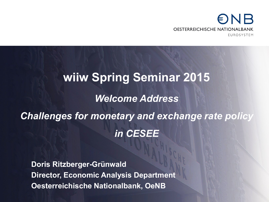# NB **OESTERREICHISCHE NATIONALBANK FUROSYSTEM**

# **wiiw Spring Seminar 2015** *Welcome Address Challenges for monetary and exchange rate policy in CESEE*

**Doris Ritzberger-Grünwald Director, Economic Analysis Department Oesterreichische Nationalbank, OeNB**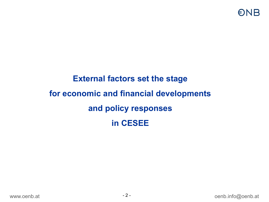# **External factors set the stage for economic and financial developments and policy responses in CESEE**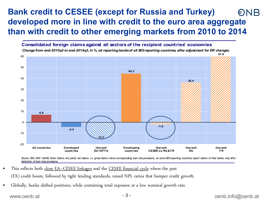### **Bank credit to CESEE (except for Russia and Turkey)**   $\bigcirc$ NB **developed more in line with credit to the euro area aggregate than with credit to other emerging markets from 2010 to 2014**



Source: BIS, IMF, OeNB. Note: Claims are partly net daims, i.e. gross daims minus corresponding loan loss provisions, as some BIS reporting countries report daims of their banks only after *deduction of loan loss provisions.*

- This reflects both close EA-CESEE linkages and the CESEE financial cycle where the past (FX) credit boom, followed by tight lending standards, raised NPL ratios that hamper credit growth.
- Globally, banks shifted positions, while containing total exposure at a low nominal growth rate.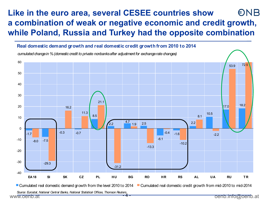### **Like in the euro area, several CESEE countries show**  $\bigcirc$ NB **a combination of weak or negative economic and credit growth, while Poland, Russia and Turkey had the opposite combination**



Cumulated real domestic demand growth from the level 2010 to 2014 Cumulated real domestic credit growth from mid-2010 to mid-2014

*Source: Eurostat, National Central Banks, National Statistical Offices, Thomson Reuters.*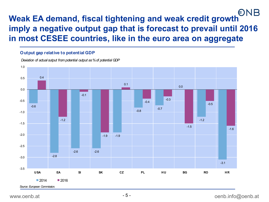# **Weak EA demand, fiscal tightening and weak credit growth imply a negative output gap that is forecast to prevail until 2016 in most CESEE countries, like in the euro area on aggregate**

#### **Output gap relative to potential GDP**

*Deviation of actual output from potential output as % of potential GDP*

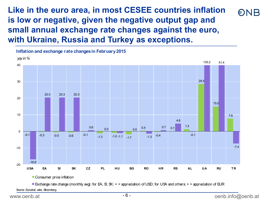**Like in the euro area, in most CESEE countries inflation ENR is low or negative, given the negative output gap and small annual exchange rate changes against the euro, with Ukraine, Russia and Turkey as exceptions.**



Exchange rate change (monthly avg): for EA, S, SK:  $+$  = appreciation of USD; for USA and others:  $+$  = appreciation of EUR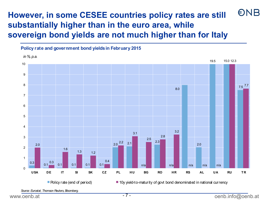## **ONB However, in some CESEE countries policy rates are still substantially higher than in the euro area, while sovereign bond yields are not much higher than for Italy**



*Source: Eurostat, Thomson Reuters, Bloomberg.*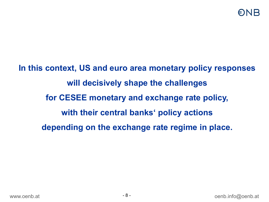**In this context, US and euro area monetary policy responses will decisively shape the challenges for CESEE monetary and exchange rate policy, with their central banks' policy actions depending on the exchange rate regime in place.**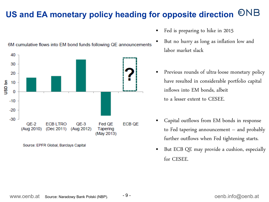### **ONB US and EA monetary policy heading for opposite direction**



6M cumulative flows into EM bond funds following QE announcements

- Fed is preparing to hike in 2015
- But no hurry as long as inflation low and labor market slack
- Previous rounds of ultra-loose monetary policy have resulted in considerable portfolio capital inflows into EM bonds, albeit to a lesser extent to CESEE.
- Capital outflows from EM bonds in response to Fed tapering announcement – and probably further outflows when Fed tightening starts.
- But ECB QE may provide a cushion, especially for CESEE.

#### Source: EPFR Global, Barclays Capital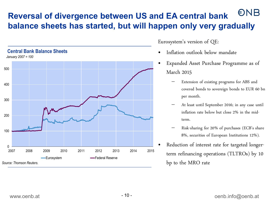### ONB **Reversal of divergence between US and EA central bank balance sheets has started, but will happen only very gradually**



Eurosystem's version of QE:

- Inflation outlook below mandate
- Expanded Asset Purchase Programme as of March 2015
	- Extension of existing programs for ABS and covered bonds to sovereign bonds to EUR 60 bn per month.
	- At least until September 2016; in any case until inflation rate below but close 2% in the midterm.
	- Risk-sharing for 20% of purchases (ECB's share 8%, securities of European Institutions 12%).
- Reduction of interest rate for targeted longerterm refinancing operations (TLTROs) by 10 bp to the MRO rate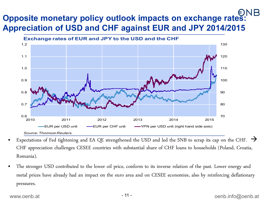# **Opposite monetary policy outlook impacts on exchange rates: Appreciation of USD and CHF against EUR and JPY 2014/2015**



- Expectations of Fed tightening and EA QE strengthened the USD and led the SNB to scrap its cap on the CHF.  $\rightarrow$ CHF appreciation challenges CESEE countries with substantial share of CHF loans to households (Poland, Croatia, Romania).
- The stronger USD contributed to the lower oil price, conform to its inverse relation of the past. Lower energy and metal prices have already had an impact on the euro area and on CESEE economies, also by reinforcing deflationary pressures.